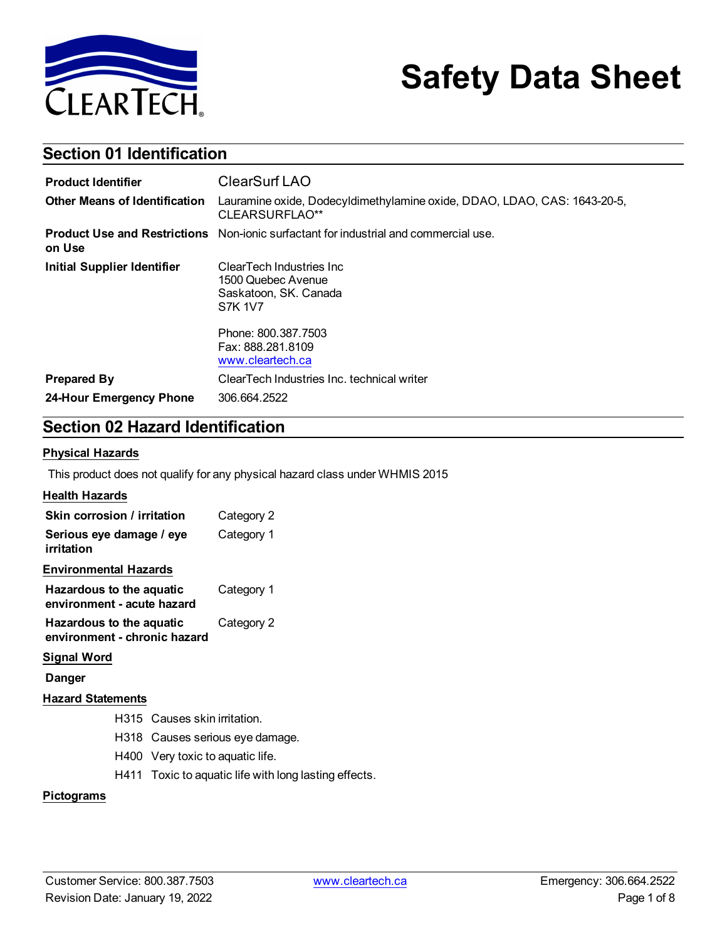

# **Safety Data Sheet**

### **Section 01 Identification**

| <b>Product Identifier</b>            | ClearSurf LAO                                                                               |
|--------------------------------------|---------------------------------------------------------------------------------------------|
| <b>Other Means of Identification</b> | Lauramine oxide, Dodecyldimethylamine oxide, DDAO, LDAO, CAS: 1643-20-5,<br>CLEARSURFLAO**  |
| on Use                               | <b>Product Use and Restrictions</b> Non-ionic surfactant for industrial and commercial use. |
| <b>Initial Supplier Identifier</b>   | ClearTech Industries Inc.<br>1500 Quebec Avenue<br>Saskatoon, SK. Canada<br><b>S7K 1V7</b>  |
|                                      | Phone: 800.387.7503<br>Fax: 888.281.8109<br>www.cleartech.ca                                |
| <b>Prepared By</b>                   | ClearTech Industries Inc. technical writer                                                  |
| 24-Hour Emergency Phone              | 306.664.2522                                                                                |

### **Section 02 Hazard Identification**

#### **Physical Hazards**

This product does not qualify for any physical hazard class under WHMIS 2015

#### **Health Hazards**

| Skin corrosion / irritation                              | Category 2 |
|----------------------------------------------------------|------------|
| Serious eye damage / eye<br>irritation                   | Category 1 |
| <b>Environmental Hazards</b>                             |            |
| Hazardous to the aquatic<br>environment - acute hazard   | Category 1 |
| Hazardous to the aquatic<br>environment - chronic hazard | Category 2 |

### **Signal Word**

**Danger**

### **Hazard Statements**

- H315 Causes skin irritation.
	- H318 Causes serious eye damage.
- H400 Very toxic to aquatic life.
- H411 Toxic to aquatic life with long lasting effects.

#### **Pictograms**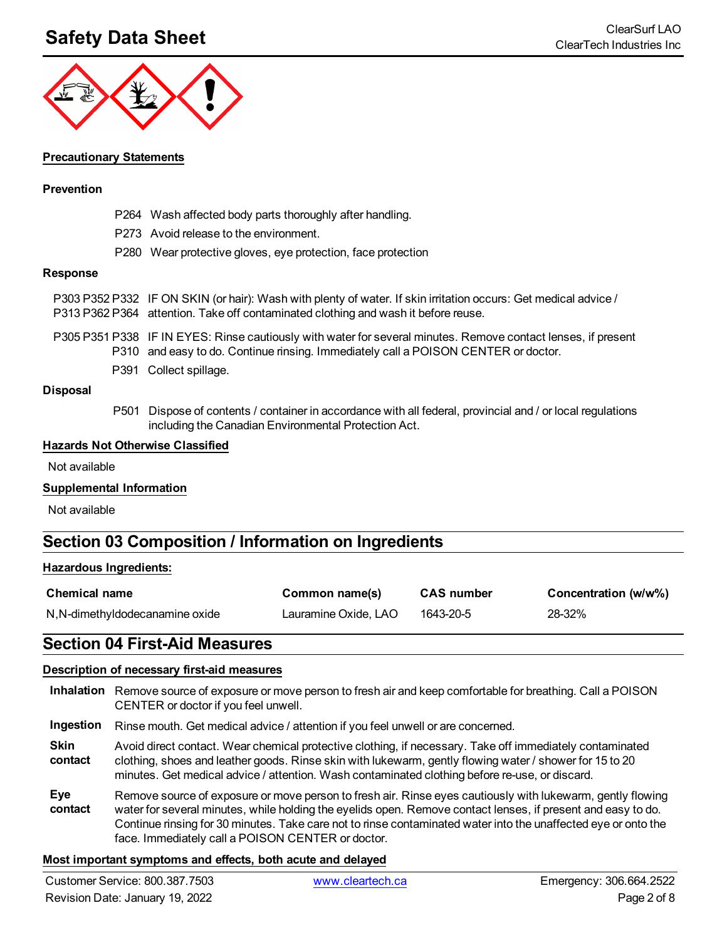## **Safety Data Sheet** ClearSurf LAO



#### **Precautionary Statements**

#### **Prevention**

- P264 Wash affected body parts thoroughly after handling.
- P273 Avoid release to the environment.
- P280 Wear protective gloves, eye protection, face protection

#### **Response**

| P303 P352 P332 IF ON SKIN (or hair): Wash with plenty of water. If skin irritation occurs: Get medical advice /<br>P313 P362 P364 attention. Take off contaminated clothing and wash it before reuse. |
|-------------------------------------------------------------------------------------------------------------------------------------------------------------------------------------------------------|
| P305 P351 P338 IF IN EYES: Rinse cautiously with water for several minutes. Remove contact lenses, if present<br>P310 and easy to do. Continue rinsing. Immediately call a POISON CENTER or doctor.   |
| P391 Collect spillage.                                                                                                                                                                                |

#### **Disposal**

P501 Dispose of contents / container in accordance with all federal, provincial and / or local regulations including the Canadian Environmental Protection Act.

#### **Hazards Not Otherwise Classified**

Not available

#### **Supplemental Information**

Not available

### **Section 03 Composition / Information on Ingredients**

#### **Hazardous Ingredients:**

| <b>Chemical name</b>            | Common name(s)       | <b>CAS number</b> | Concentration (w/w%) |
|---------------------------------|----------------------|-------------------|----------------------|
| N, N-dimethyldodecanamine oxide | Lauramine Oxide, LAO | 1643-20-5         | 28-32%               |

### **Section 04 First-Aid Measures**

#### **Description of necessary first-aid measures**

| Inhalation Remove source of exposure or move person to fresh air and keep comfortable for breathing. Call a POISON |
|--------------------------------------------------------------------------------------------------------------------|
| CENTER or doctor if you feel unwell.                                                                               |

**Ingestion** Rinse mouth. Get medical advice / attention if you feel unwell or are concerned.

- **Skin contact** Avoid direct contact. Wear chemical protective clothing, if necessary. Take off immediately contaminated clothing, shoes and leather goods. Rinse skin with lukewarm, gently flowing water / shower for 15 to 20 minutes. Get medical advice / attention. Wash contaminated clothing before re-use, or discard.
- **Eye contact** Remove source of exposure or move person to fresh air. Rinse eyes cautiously with lukewarm, gently flowing water for several minutes, while holding the eyelids open. Remove contact lenses, if present and easy to do. Continue rinsing for 30 minutes. Take care not to rinse contaminated water into the unaffected eye or onto the face. Immediately call a POISON CENTER or doctor.

#### **Most important symptoms and effects, both acute and delayed**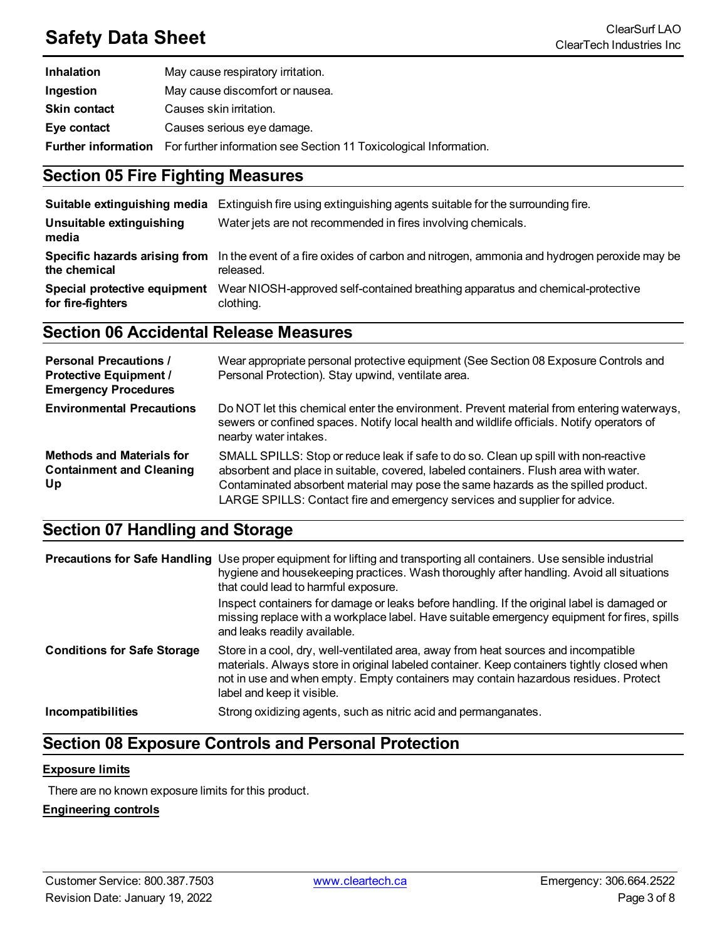# **Safety Data Sheet** ClearSurf LAO

| Inhalation          | May cause respiratory irritation.                                                            |
|---------------------|----------------------------------------------------------------------------------------------|
| Ingestion           | May cause discomfort or nausea.                                                              |
| <b>Skin contact</b> | Causes skin irritation.                                                                      |
| Eye contact         | Causes serious eye damage.                                                                   |
|                     | <b>Further information</b> For further information see Section 11 Toxicological Information. |

### **Section 05 Fire Fighting Measures**

| Suitable extinguishing media                      | Extinguish fire using extinguishing agents suitable for the surrounding fire.                                                         |
|---------------------------------------------------|---------------------------------------------------------------------------------------------------------------------------------------|
| Unsuitable extinguishing<br>media                 | Water jets are not recommended in fires involving chemicals.                                                                          |
| the chemical                                      | Specific hazards arising from In the event of a fire oxides of carbon and nitrogen, ammonia and hydrogen peroxide may be<br>released. |
| Special protective equipment<br>for fire-fighters | Wear NIOSH-approved self-contained breathing apparatus and chemical-protective<br>clothing.                                           |

### **Section 06 Accidental Release Measures**

| <b>Personal Precautions /</b><br><b>Protective Equipment /</b><br><b>Emergency Procedures</b> | Wear appropriate personal protective equipment (See Section 08 Exposure Controls and<br>Personal Protection). Stay upwind, ventilate area.                                                                                                                                                                                                      |
|-----------------------------------------------------------------------------------------------|-------------------------------------------------------------------------------------------------------------------------------------------------------------------------------------------------------------------------------------------------------------------------------------------------------------------------------------------------|
| <b>Environmental Precautions</b>                                                              | Do NOT let this chemical enter the environment. Prevent material from entering waterways,<br>sewers or confined spaces. Notify local health and wildlife officials. Notify operators of<br>nearby water intakes.                                                                                                                                |
| <b>Methods and Materials for</b><br><b>Containment and Cleaning</b><br>Up                     | SMALL SPILLS: Stop or reduce leak if safe to do so. Clean up spill with non-reactive<br>absorbent and place in suitable, covered, labeled containers. Flush area with water.<br>Contaminated absorbent material may pose the same hazards as the spilled product.<br>LARGE SPILLS: Contact fire and emergency services and supplier for advice. |

### **Section 07 Handling and Storage**

|                                    | <b>Precautions for Safe Handling</b> Use proper equipment for lifting and transporting all containers. Use sensible industrial<br>hygiene and housekeeping practices. Wash thoroughly after handling. Avoid all situations<br>that could lead to harmful exposure.                                     |
|------------------------------------|--------------------------------------------------------------------------------------------------------------------------------------------------------------------------------------------------------------------------------------------------------------------------------------------------------|
|                                    | Inspect containers for damage or leaks before handling. If the original label is damaged or<br>missing replace with a workplace label. Have suitable emergency equipment for fires, spills<br>and leaks readily available.                                                                             |
| <b>Conditions for Safe Storage</b> | Store in a cool, dry, well-ventilated area, away from heat sources and incompatible<br>materials. Always store in original labeled container. Keep containers tightly closed when<br>not in use and when empty. Empty containers may contain hazardous residues. Protect<br>label and keep it visible. |
| <b>Incompatibilities</b>           | Strong oxidizing agents, such as nitric acid and permanganates.                                                                                                                                                                                                                                        |

### **Section 08 Exposure Controls and Personal Protection**

#### **Exposure limits**

There are no known exposure limits for this product.

### **Engineering controls**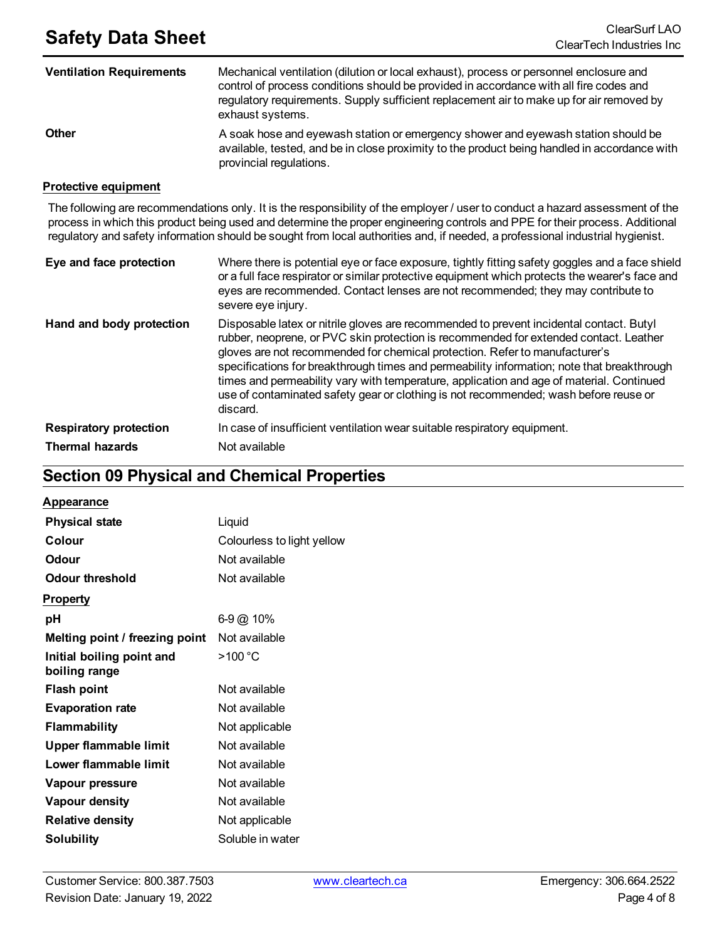| <b>Ventilation Requirements</b> | Mechanical ventilation (dilution or local exhaust), process or personnel enclosure and<br>control of process conditions should be provided in accordance with all fire codes and<br>regulatory requirements. Supply sufficient replacement air to make up for air removed by<br>exhaust systems. |
|---------------------------------|--------------------------------------------------------------------------------------------------------------------------------------------------------------------------------------------------------------------------------------------------------------------------------------------------|
| <b>Other</b>                    | A soak hose and eyewash station or emergency shower and eyewash station should be<br>available, tested, and be in close proximity to the product being handled in accordance with<br>provincial regulations.                                                                                     |

#### **Protective equipment**

The following are recommendations only. It is the responsibility of the employer / user to conduct a hazard assessment of the process in which this product being used and determine the proper engineering controls and PPE for their process. Additional regulatory and safety information should be sought from local authorities and, if needed, a professional industrial hygienist.

| Eye and face protection       | Where there is potential eye or face exposure, tightly fitting safety goggles and a face shield<br>or a full face respirator or similar protective equipment which protects the wearer's face and<br>eyes are recommended. Contact lenses are not recommended; they may contribute to<br>severe eye injury.                                                                                                                                                                                                                                                   |
|-------------------------------|---------------------------------------------------------------------------------------------------------------------------------------------------------------------------------------------------------------------------------------------------------------------------------------------------------------------------------------------------------------------------------------------------------------------------------------------------------------------------------------------------------------------------------------------------------------|
| Hand and body protection      | Disposable latex or nitrile gloves are recommended to prevent incidental contact. Butyl<br>rubber, neoprene, or PVC skin protection is recommended for extended contact. Leather<br>gloves are not recommended for chemical protection. Refer to manufacturer's<br>specifications for breakthrough times and permeability information; note that breakthrough<br>times and permeability vary with temperature, application and age of material. Continued<br>use of contaminated safety gear or clothing is not recommended; wash before reuse or<br>discard. |
| <b>Respiratory protection</b> | In case of insufficient ventilation wear suitable respiratory equipment.                                                                                                                                                                                                                                                                                                                                                                                                                                                                                      |
| <b>Thermal hazards</b>        | Not available                                                                                                                                                                                                                                                                                                                                                                                                                                                                                                                                                 |

### **Section 09 Physical and Chemical Properties**

### **Appearance**

| <b>Physical state</b>                      | Liquid                     |
|--------------------------------------------|----------------------------|
| Colour                                     | Colourless to light yellow |
| Odour                                      | Not available              |
| Odour threshold                            | Not available              |
| <b>Property</b>                            |                            |
| рH                                         | 6-9 @ 10%                  |
| Melting point / freezing point             | Not available              |
| Initial boiling point and<br>boiling range | >100 °C                    |
| <b>Flash point</b>                         | Not available              |
| <b>Evaporation rate</b>                    | Not available              |
| <b>Flammability</b>                        | Not applicable             |
| Upper flammable limit                      | Not available              |
| Lower flammable limit                      | Not available              |
| Vapour pressure                            | Not available              |
| <b>Vapour density</b>                      | Not available              |
| <b>Relative density</b>                    | Not applicable             |
| Solubility                                 | Soluble in water           |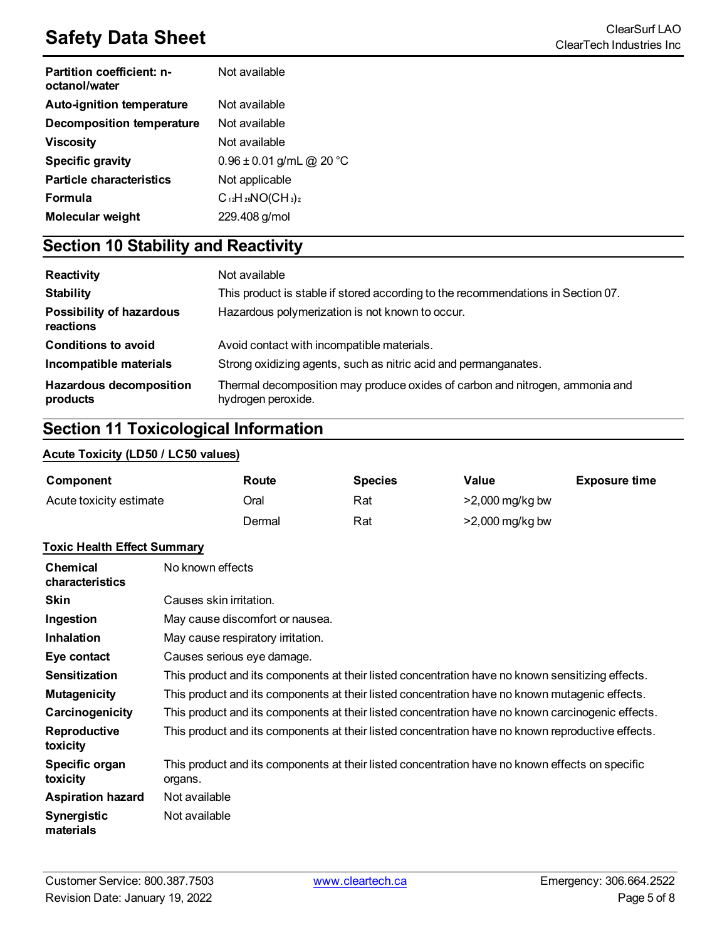# **Safety Data Sheet**<br>ClearTech Industries Inc.

| Partition coefficient: n-<br>octanol/water | Not available                |
|--------------------------------------------|------------------------------|
| <b>Auto-ignition temperature</b>           | Not available                |
| <b>Decomposition temperature</b>           | Not available                |
| Viscosity                                  | Not available                |
| <b>Specific gravity</b>                    | $0.96 \pm 0.01$ g/mL @ 20 °C |
| <b>Particle characteristics</b>            | Not applicable               |
| <b>Formula</b>                             | $C_{12}H_{25}NO(CH_3)_2$     |
| Molecular weight                           | 229.408 g/mol                |

### **Section 10 Stability and Reactivity**

| Reactivity                                   | Not available                                                                                      |  |  |
|----------------------------------------------|----------------------------------------------------------------------------------------------------|--|--|
| <b>Stability</b>                             | This product is stable if stored according to the recommendations in Section 07.                   |  |  |
| <b>Possibility of hazardous</b><br>reactions | Hazardous polymerization is not known to occur.                                                    |  |  |
| <b>Conditions to avoid</b>                   | Avoid contact with incompatible materials.                                                         |  |  |
| Incompatible materials                       | Strong oxidizing agents, such as nitric acid and permanganates.                                    |  |  |
| <b>Hazardous decomposition</b><br>products   | Thermal decomposition may produce oxides of carbon and nitrogen, ammonia and<br>hydrogen peroxide. |  |  |

### **Section 11 Toxicological Information**

### **Acute Toxicity (LD50 / LC50 values)**

| Component               | Route  | <b>Species</b> | Value             | <b>Exposure time</b> |
|-------------------------|--------|----------------|-------------------|----------------------|
| Acute toxicity estimate | Oral   | Rat            | $>2,000$ mg/kg bw |                      |
|                         | Dermal | Rat            | >2,000 mg/kg bw   |                      |

#### **Toxic Health Effect Summary**

| <b>Chemical</b><br>characteristics | No known effects                                                                                           |
|------------------------------------|------------------------------------------------------------------------------------------------------------|
| <b>Skin</b>                        | Causes skin irritation.                                                                                    |
| Ingestion                          | May cause discomfort or nausea.                                                                            |
| <b>Inhalation</b>                  | May cause respiratory irritation.                                                                          |
| Eye contact                        | Causes serious eye damage.                                                                                 |
| <b>Sensitization</b>               | This product and its components at their listed concentration have no known sensitizing effects.           |
| <b>Mutagenicity</b>                | This product and its components at their listed concentration have no known mutagenic effects.             |
| Carcinogenicity                    | This product and its components at their listed concentration have no known carcinogenic effects.          |
| Reproductive<br>toxicity           | This product and its components at their listed concentration have no known reproductive effects.          |
| Specific organ<br>toxicity         | This product and its components at their listed concentration have no known effects on specific<br>organs. |
| <b>Aspiration hazard</b>           | Not available                                                                                              |
| <b>Synergistic</b><br>materials    | Not available                                                                                              |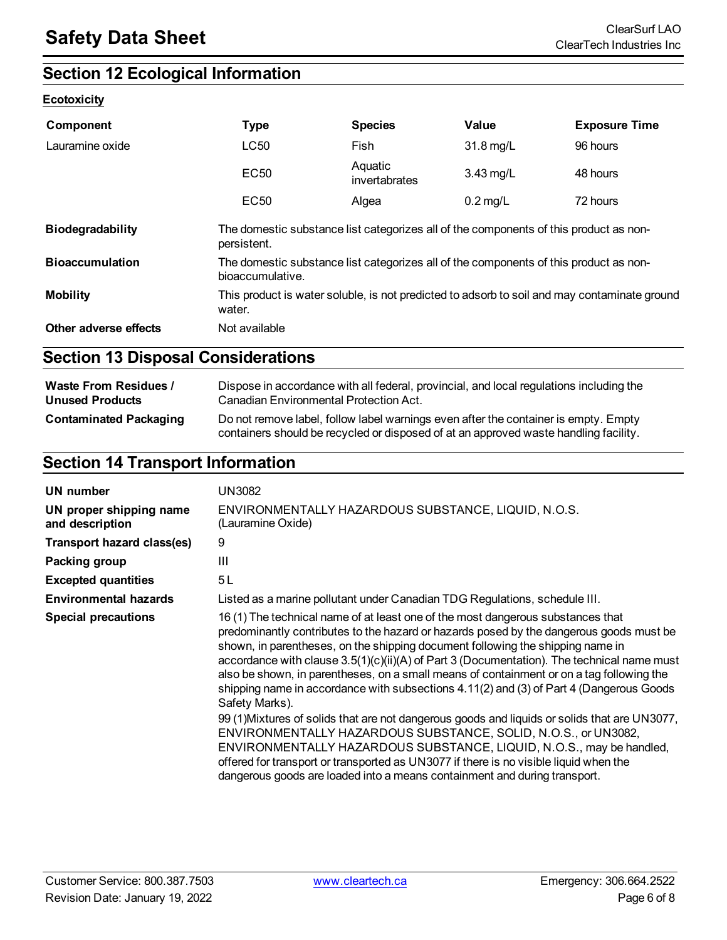### **Section 12 Ecological Information**

### **Ecotoxicity**

| <b>Component</b>        | <b>Type</b>                                                                                               | <b>Species</b>           | Value              | <b>Exposure Time</b> |
|-------------------------|-----------------------------------------------------------------------------------------------------------|--------------------------|--------------------|----------------------|
| Lauramine oxide         | LC50                                                                                                      | Fish                     | 31.8 mg/L          | 96 hours             |
|                         | <b>EC50</b>                                                                                               | Aquatic<br>invertabrates | $3.43$ mg/L        | 48 hours             |
|                         | EC <sub>50</sub>                                                                                          | Algea                    | $0.2 \text{ mg/L}$ | 72 hours             |
| <b>Biodegradability</b> | The domestic substance list categorizes all of the components of this product as non-<br>persistent.      |                          |                    |                      |
| <b>Bioaccumulation</b>  | The domestic substance list categorizes all of the components of this product as non-<br>bioaccumulative. |                          |                    |                      |
| <b>Mobility</b>         | This product is water soluble, is not predicted to adsorb to soil and may contaminate ground<br>water.    |                          |                    |                      |
| Other adverse effects   | Not available                                                                                             |                          |                    |                      |

### **Section 13 Disposal Considerations**

| <b>Waste From Residues /</b>  | Dispose in accordance with all federal, provincial, and local regulations including the                                                                                     |  |  |
|-------------------------------|-----------------------------------------------------------------------------------------------------------------------------------------------------------------------------|--|--|
| <b>Unused Products</b>        | Canadian Environmental Protection Act.                                                                                                                                      |  |  |
| <b>Contaminated Packaging</b> | Do not remove label, follow label warnings even after the container is empty. Empty<br>containers should be recycled or disposed of at an approved waste handling facility. |  |  |

### **Section 14 Transport Information**

| UN number                                  | UN3082                                                                                                                                                                                                                                                                                                                                                                                                                                                                                                                                                                |  |  |
|--------------------------------------------|-----------------------------------------------------------------------------------------------------------------------------------------------------------------------------------------------------------------------------------------------------------------------------------------------------------------------------------------------------------------------------------------------------------------------------------------------------------------------------------------------------------------------------------------------------------------------|--|--|
| UN proper shipping name<br>and description | ENVIRONMENTALLY HAZARDOUS SUBSTANCE, LIQUID, N.O.S.<br>(Lauramine Oxide)                                                                                                                                                                                                                                                                                                                                                                                                                                                                                              |  |  |
| <b>Transport hazard class(es)</b>          | 9                                                                                                                                                                                                                                                                                                                                                                                                                                                                                                                                                                     |  |  |
| Packing group                              | $\mathbf{III}$                                                                                                                                                                                                                                                                                                                                                                                                                                                                                                                                                        |  |  |
| <b>Excepted quantities</b>                 | 5L                                                                                                                                                                                                                                                                                                                                                                                                                                                                                                                                                                    |  |  |
| <b>Environmental hazards</b>               | Listed as a marine pollutant under Canadian TDG Regulations, schedule III.                                                                                                                                                                                                                                                                                                                                                                                                                                                                                            |  |  |
| <b>Special precautions</b>                 | 16 (1) The technical name of at least one of the most dangerous substances that<br>predominantly contributes to the hazard or hazards posed by the dangerous goods must be<br>shown, in parentheses, on the shipping document following the shipping name in<br>accordance with clause $3.5(1)(c)(ii)(A)$ of Part 3 (Documentation). The technical name must<br>also be shown, in parentheses, on a small means of containment or on a tag following the<br>shipping name in accordance with subsections 4.11(2) and (3) of Part 4 (Dangerous Goods<br>Safety Marks). |  |  |
|                                            | 99 (1) Mixtures of solids that are not dangerous goods and liquids or solids that are UN3077,<br>ENVIRONMENTALLY HAZARDOUS SUBSTANCE, SOLID, N.O.S., or UN3082,<br>ENVIRONMENTALLY HAZARDOUS SUBSTANCE, LIQUID, N.O.S., may be handled,<br>offered for transport or transported as UN3077 if there is no visible liquid when the<br>dangerous goods are loaded into a means containment and during transport.                                                                                                                                                         |  |  |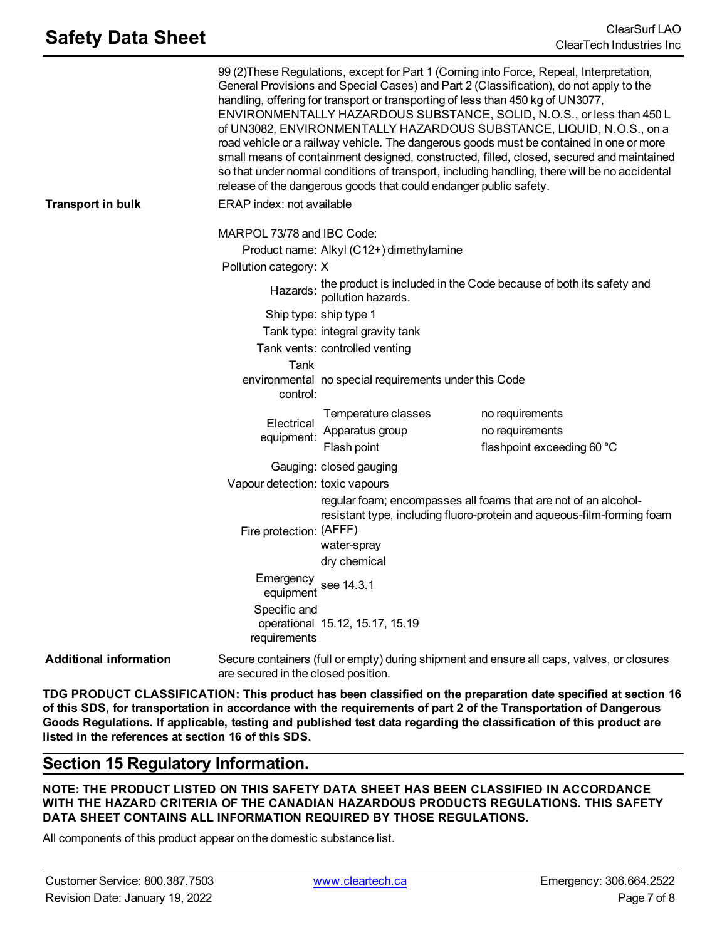|                               |                                                     | release of the dangerous goods that could endanger public safety.                                                                                                        | 99 (2) These Regulations, except for Part 1 (Coming into Force, Repeal, Interpretation,<br>General Provisions and Special Cases) and Part 2 (Classification), do not apply to the<br>handling, offering for transport or transporting of less than 450 kg of UN3077,<br>ENVIRONMENTALLY HAZARDOUS SUBSTANCE, SOLID, N.O.S., or less than 450 L<br>of UN3082, ENVIRONMENTALLY HAZARDOUS SUBSTANCE, LIQUID, N.O.S., on a<br>road vehicle or a railway vehicle. The dangerous goods must be contained in one or more<br>small means of containment designed, constructed, filled, closed, secured and maintained<br>so that under normal conditions of transport, including handling, there will be no accidental |
|-------------------------------|-----------------------------------------------------|--------------------------------------------------------------------------------------------------------------------------------------------------------------------------|----------------------------------------------------------------------------------------------------------------------------------------------------------------------------------------------------------------------------------------------------------------------------------------------------------------------------------------------------------------------------------------------------------------------------------------------------------------------------------------------------------------------------------------------------------------------------------------------------------------------------------------------------------------------------------------------------------------|
| <b>Transport in bulk</b>      | ERAP index: not available                           |                                                                                                                                                                          |                                                                                                                                                                                                                                                                                                                                                                                                                                                                                                                                                                                                                                                                                                                |
|                               | MARPOL 73/78 and IBC Code:<br>Pollution category: X | Product name: Alkyl (C12+) dimethylamine                                                                                                                                 |                                                                                                                                                                                                                                                                                                                                                                                                                                                                                                                                                                                                                                                                                                                |
|                               |                                                     |                                                                                                                                                                          | the product is included in the Code because of both its safety and<br>pollution hazards.                                                                                                                                                                                                                                                                                                                                                                                                                                                                                                                                                                                                                       |
|                               |                                                     | Ship type: ship type 1                                                                                                                                                   |                                                                                                                                                                                                                                                                                                                                                                                                                                                                                                                                                                                                                                                                                                                |
|                               | Tank type: integral gravity tank                    |                                                                                                                                                                          |                                                                                                                                                                                                                                                                                                                                                                                                                                                                                                                                                                                                                                                                                                                |
|                               |                                                     | Tank vents: controlled venting                                                                                                                                           |                                                                                                                                                                                                                                                                                                                                                                                                                                                                                                                                                                                                                                                                                                                |
|                               | Tank<br>control:                                    | environmental no special requirements under this Code                                                                                                                    |                                                                                                                                                                                                                                                                                                                                                                                                                                                                                                                                                                                                                                                                                                                |
|                               | Electrical<br>equipment:                            | Temperature classes<br>Apparatus group<br>Flash point                                                                                                                    | no requirements<br>no requirements<br>flashpoint exceeding 60 °C                                                                                                                                                                                                                                                                                                                                                                                                                                                                                                                                                                                                                                               |
|                               |                                                     | Gauging: closed gauging                                                                                                                                                  |                                                                                                                                                                                                                                                                                                                                                                                                                                                                                                                                                                                                                                                                                                                |
|                               | Vapour detection: toxic vapours                     |                                                                                                                                                                          |                                                                                                                                                                                                                                                                                                                                                                                                                                                                                                                                                                                                                                                                                                                |
|                               | Fire protection: (AFFF)                             | regular foam; encompasses all foams that are not of an alcohol-<br>resistant type, including fluoro-protein and aqueous-film-forming foam<br>water-spray<br>dry chemical |                                                                                                                                                                                                                                                                                                                                                                                                                                                                                                                                                                                                                                                                                                                |
|                               | Emergency                                           | equipment see 14.3.1                                                                                                                                                     |                                                                                                                                                                                                                                                                                                                                                                                                                                                                                                                                                                                                                                                                                                                |
|                               | Specific and<br>requirements                        | operational 15.12, 15.17, 15.19                                                                                                                                          |                                                                                                                                                                                                                                                                                                                                                                                                                                                                                                                                                                                                                                                                                                                |
| <b>Additional information</b> | are secured in the closed position.                 |                                                                                                                                                                          | Secure containers (full or empty) during shipment and ensure all caps, valves, or closures                                                                                                                                                                                                                                                                                                                                                                                                                                                                                                                                                                                                                     |

**TDG PRODUCT CLASSIFICATION: This product has been classified on the preparation date specified at section 16** of this SDS, for transportation in accordance with the requirements of part 2 of the Transportation of Dangerous Goods Regulations. If applicable, testing and published test data regarding the classification of this product are **listed in the references at section 16 of this SDS.**

### **Section 15 Regulatory Information.**

**NOTE: THE PRODUCT LISTED ON THIS SAFETY DATA SHEET HAS BEEN CLASSIFIED IN ACCORDANCE WITH THE HAZARD CRITERIA OF THE CANADIAN HAZARDOUS PRODUCTS REGULATIONS. THIS SAFETY DATA SHEET CONTAINS ALL INFORMATION REQUIRED BY THOSE REGULATIONS.**

All components of this product appear on the domestic substance list.